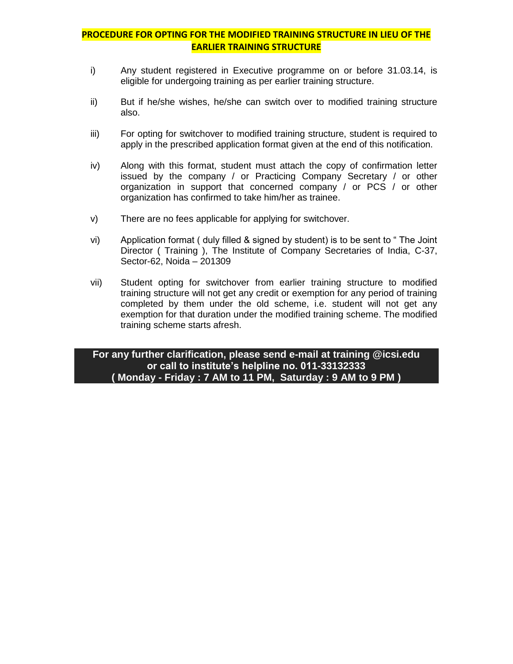# **PROCEDURE FOR OPTING FOR THE MODIFIED TRAINING STRUCTURE IN LIEU OF THE EARLIER TRAINING STRUCTURE**

- i) Any student registered in Executive programme on or before 31.03.14, is eligible for undergoing training as per earlier training structure.
- ii) But if he/she wishes, he/she can switch over to modified training structure also.
- iii) For opting for switchover to modified training structure, student is required to apply in the prescribed application format given at the end of this notification.
- iv) Along with this format, student must attach the copy of confirmation letter issued by the company / or Practicing Company Secretary / or other organization in support that concerned company / or PCS / or other organization has confirmed to take him/her as trainee.
- v) There are no fees applicable for applying for switchover.
- vi) Application format ( duly filled & signed by student) is to be sent to " The Joint Director ( Training ), The Institute of Company Secretaries of India, C-37, Sector-62, Noida – 201309
- vii) Student opting for switchover from earlier training structure to modified training structure will not get any credit or exemption for any period of training completed by them under the old scheme, i.e. student will not get any exemption for that duration under the modified training scheme. The modified training scheme starts afresh.

## **For any further clarification, please send e-mail at training @icsi.edu or call to institute's helpline no. 011-33132333 ( Monday - Friday : 7 AM to 11 PM, Saturday : 9 AM to 9 PM )**